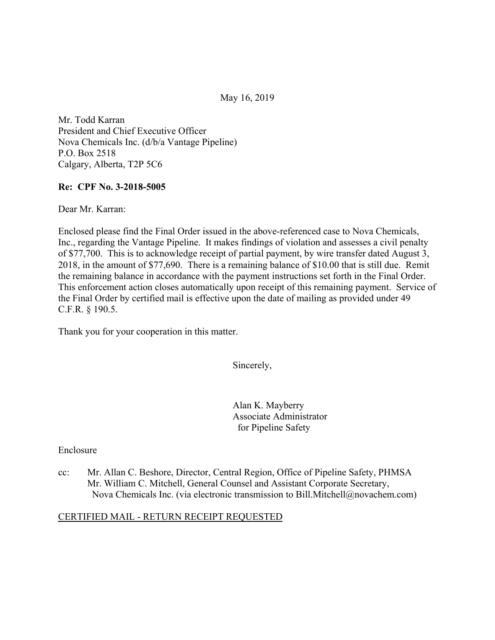May 16, 2019

Mr. Todd Karran President and Chief Executive Officer Nova Chemicals Inc. (d/b/a Vantage Pipeline) P.O. Box 2518 Calgary, Alberta, T2P 5C6

### **Re: CPF No. 3-2018-5005**

Dear Mr. Karran:

Enclosed please find the Final Order issued in the above-referenced case to Nova Chemicals, Inc., regarding the Vantage Pipeline. It makes findings of violation and assesses a civil penalty of \$77,700. This is to acknowledge receipt of partial payment, by wire transfer dated August 3, 2018, in the amount of \$77,690. There is a remaining balance of \$10.00 that is still due. Remit the remaining balance in accordance with the payment instructions set forth in the Final Order. This enforcement action closes automatically upon receipt of this remaining payment. Service of the Final Order by certified mail is effective upon the date of mailing as provided under 49 C.F.R. § 190.5.

Thank you for your cooperation in this matter.

Sincerely,

Alan K. Mayberry Associate Administrator for Pipeline Safety

Enclosure

cc: Mr. Allan C. Beshore, Director, Central Region, Office of Pipeline Safety, PHMSA Mr. William C. Mitchell, General Counsel and Assistant Corporate Secretary, Nova Chemicals Inc. (via electronic transmission to [Bill.Mitchell@novachem.com\)](mailto:Bill.Mitchell@novachem.com)

### CERTIFIED MAIL - RETURN RECEIPT REQUESTED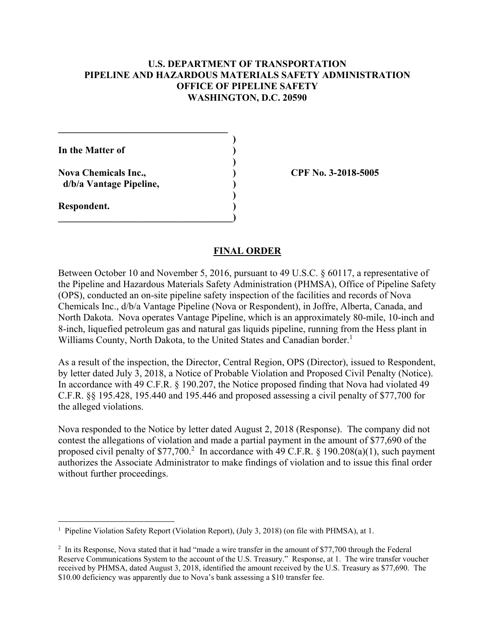## **U.S. DEPARTMENT OF TRANSPORTATION PIPELINE AND HAZARDOUS MATERIALS SAFETY ADMINISTRATION OFFICE OF PIPELINE SAFETY WASHINGTON, D.C. 20590**

**\_\_\_\_\_\_\_\_\_\_\_\_\_\_\_\_\_\_\_\_\_\_\_\_\_\_\_\_\_\_\_\_\_\_\_ ) In the Matter of ) ) Nova Chemicals Inc., ) CPF No. 3-2018-5005 d/b/a Vantage Pipeline, ) ) Respondent. )**   $\overline{\phantom{a}}$ 

#### **FINAL ORDER**

Between October 10 and November 5, 2016, pursuant to 49 U.S.C. § 60117, a representative of the Pipeline and Hazardous Materials Safety Administration (PHMSA), Office of Pipeline Safety (OPS), conducted an on-site pipeline safety inspection of the facilities and records of Nova Chemicals Inc., d/b/a Vantage Pipeline (Nova or Respondent), in Joffre, Alberta, Canada, and North Dakota. Nova operates Vantage Pipeline, which is an approximately 80-mile, 10-inch and 8-inch, liquefied petroleum gas and natural gas liquids pipeline, running from the Hess plant in Williams County, North Dakota, to the United States and Canadian border.<sup>1</sup>

As a result of the inspection, the Director, Central Region, OPS (Director), issued to Respondent, by letter dated July 3, 2018, a Notice of Probable Violation and Proposed Civil Penalty (Notice). In accordance with 49 C.F.R. § 190.207, the Notice proposed finding that Nova had violated 49 C.F.R. §§ 195.428, 195.440 and 195.446 and proposed assessing a civil penalty of \$77,700 for the alleged violations.

Nova responded to the Notice by letter dated August 2, 2018 (Response). The company did not contest the allegations of violation and made a partial payment in the amount of \$77,690 of the proposed civil penalty of \$77,700.<sup>2</sup> In accordance with 49 C.F.R. § 190.208(a)(1), such payment authorizes the Associate Administrator to make findings of violation and to issue this final order without further proceedings.

 1 Pipeline Violation Safety Report (Violation Report), (July 3, 2018) (on file with PHMSA), at 1.

<sup>&</sup>lt;sup>2</sup> In its Response, Nova stated that it had "made a wire transfer in the amount of \$77,700 through the Federal Reserve Communications System to the account of the U.S. Treasury." Response, at 1. The wire transfer voucher \$10.00 deficiency was apparently due to Nova's bank assessing a \$10 transfer fee.received by PHMSA, dated August 3, 2018, identified the amount received by the U.S. Treasury as \$77,690. The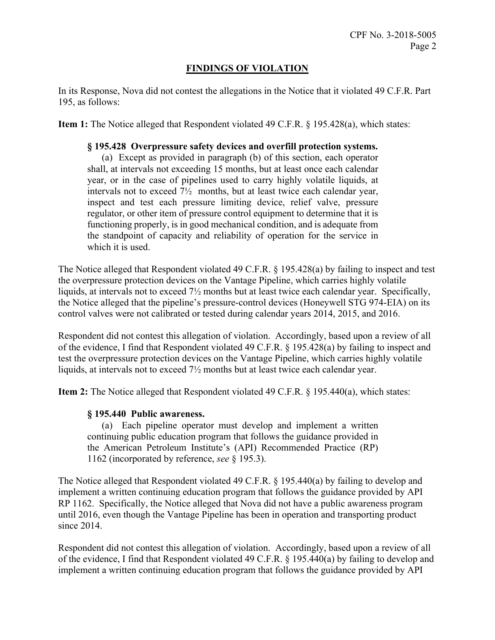# **FINDINGS OF VIOLATION**

In its Response, Nova did not contest the allegations in the Notice that it violated 49 C.F.R. Part 195, as follows:

**Item 1:** The Notice alleged that Respondent violated 49 C.F.R. § 195.428(a), which states:

## **§ 195.428 Overpressure safety devices and overfill protection systems.**

 (a) Except as provided in paragraph (b) of this section, each operator inspect and test each pressure limiting device, relief valve, pressure the standpoint of capacity and reliability of operation for the service in shall, at intervals not exceeding 15 months, but at least once each calendar year, or in the case of pipelines used to carry highly volatile liquids, at intervals not to exceed 7½ months, but at least twice each calendar year, regulator, or other item of pressure control equipment to determine that it is functioning properly, is in good mechanical condition, and is adequate from which it is used.

The Notice alleged that Respondent violated 49 C.F.R. § 195.428(a) by failing to inspect and test the overpressure protection devices on the Vantage Pipeline, which carries highly volatile liquids, at intervals not to exceed 7½ months but at least twice each calendar year. Specifically, the Notice alleged that the pipeline's pressure-control devices (Honeywell STG 974-EIA) on its control valves were not calibrated or tested during calendar years 2014, 2015, and 2016.

Respondent did not contest this allegation of violation. Accordingly, based upon a review of all of the evidence, I find that Respondent violated 49 C.F.R. § 195.428(a) by failing to inspect and test the overpressure protection devices on the Vantage Pipeline, which carries highly volatile liquids, at intervals not to exceed 7½ months but at least twice each calendar year.

**Item 2:** The Notice alleged that Respondent violated 49 C.F.R. § 195.440(a), which states:

### **§ 195.440 Public awareness.**

 the American Petroleum Institute's (API) Recommended Practice (RP) (a) Each pipeline operator must develop and implement a written continuing public education program that follows the guidance provided in 1162 (incorporated by reference, *see* § 195.3).

The Notice alleged that Respondent violated 49 C.F.R. § 195.440(a) by failing to develop and implement a written continuing education program that follows the guidance provided by API RP 1162. Specifically, the Notice alleged that Nova did not have a public awareness program until 2016, even though the Vantage Pipeline has been in operation and transporting product since 2014.

Respondent did not contest this allegation of violation. Accordingly, based upon a review of all of the evidence, I find that Respondent violated 49 C.F.R. § 195.440(a) by failing to develop and implement a written continuing education program that follows the guidance provided by API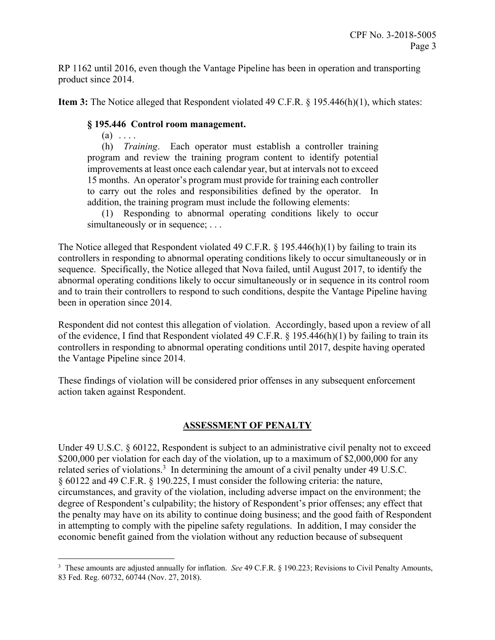RP 1162 until 2016, even though the Vantage Pipeline has been in operation and transporting product since 2014.

**Item 3:** The Notice alleged that Respondent violated 49 C.F.R. § 195.446(h)(1), which states:

# **§ 195.446 Control room management.**

 $(a) \ldots$ 

 $\overline{a}$ 

 (h) *Training*. Each operator must establish a controller training program and review the training program content to identify potential improvements at least once each calendar year, but at intervals not to exceed 15 months. An operator's program must provide for training each controller to carry out the roles and responsibilities defined by the operator. In addition, the training program must include the following elements:

(1) Responding to abnormal operating conditions likely to occur simultaneously or in sequence; ...

The Notice alleged that Respondent violated 49 C.F.R. § 195.446(h)(1) by failing to train its controllers in responding to abnormal operating conditions likely to occur simultaneously or in sequence. Specifically, the Notice alleged that Nova failed, until August 2017, to identify the abnormal operating conditions likely to occur simultaneously or in sequence in its control room and to train their controllers to respond to such conditions, despite the Vantage Pipeline having been in operation since 2014.

Respondent did not contest this allegation of violation. Accordingly, based upon a review of all of the evidence, I find that Respondent violated 49 C.F.R. § 195.446(h)(1) by failing to train its controllers in responding to abnormal operating conditions until 2017, despite having operated the Vantage Pipeline since 2014.

These findings of violation will be considered prior offenses in any subsequent enforcement action taken against Respondent.

# **ASSESSMENT OF PENALTY**

Under 49 U.S.C. § 60122, Respondent is subject to an administrative civil penalty not to exceed \$200,000 per violation for each day of the violation, up to a maximum of \$2,000,000 for any related series of violations.<sup>3</sup> In determining the amount of a civil penalty under 49 U.S.C. § 60122 and 49 C.F.R. § 190.225, I must consider the following criteria: the nature, circumstances, and gravity of the violation, including adverse impact on the environment; the degree of Respondent's culpability; the history of Respondent's prior offenses; any effect that the penalty may have on its ability to continue doing business; and the good faith of Respondent in attempting to comply with the pipeline safety regulations. In addition, I may consider the economic benefit gained from the violation without any reduction because of subsequent

<sup>3</sup> These amounts are adjusted annually for inflation. *See* 49 C.F.R. § 190.223; Revisions to Civil Penalty Amounts, 83 Fed. Reg. 60732, 60744 (Nov. 27, 2018).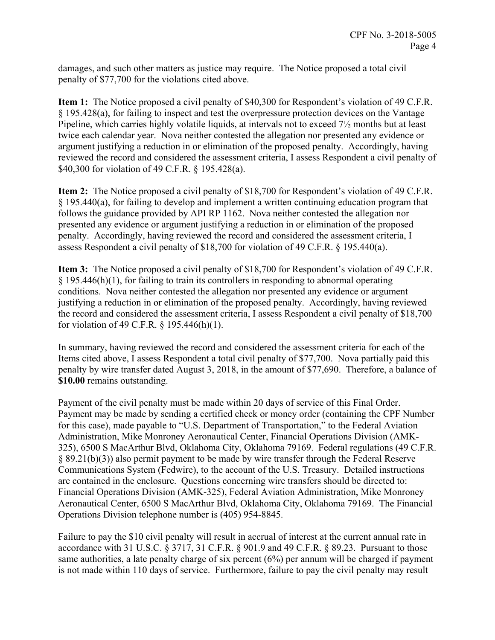damages, and such other matters as justice may require. The Notice proposed a total civil penalty of \$77,700 for the violations cited above.

**Item 1:** The Notice proposed a civil penalty of \$40,300 for Respondent's violation of 49 C.F.R. § 195.428(a), for failing to inspect and test the overpressure protection devices on the Vantage Pipeline, which carries highly volatile liquids, at intervals not to exceed 7½ months but at least twice each calendar year. Nova neither contested the allegation nor presented any evidence or argument justifying a reduction in or elimination of the proposed penalty. Accordingly, having reviewed the record and considered the assessment criteria, I assess Respondent a civil penalty of \$40,300 for violation of 49 C.F.R. § 195.428(a).

**Item 2:** The Notice proposed a civil penalty of \$18,700 for Respondent's violation of 49 C.F.R.  $§$  195.440(a), for failing to develop and implement a written continuing education program that follows the guidance provided by API RP 1162. Nova neither contested the allegation nor presented any evidence or argument justifying a reduction in or elimination of the proposed penalty. Accordingly, having reviewed the record and considered the assessment criteria, I assess Respondent a civil penalty of \$18,700 for violation of 49 C.F.R. § 195.440(a).

**Item 3:** The Notice proposed a civil penalty of \$18,700 for Respondent's violation of 49 C.F.R. § 195.446(h)(1), for failing to train its controllers in responding to abnormal operating conditions. Nova neither contested the allegation nor presented any evidence or argument justifying a reduction in or elimination of the proposed penalty. Accordingly, having reviewed the record and considered the assessment criteria, I assess Respondent a civil penalty of \$18,700 for violation of 49 C.F.R. § 195.446(h)(1).

In summary, having reviewed the record and considered the assessment criteria for each of the Items cited above, I assess Respondent a total civil penalty of \$77,700. Nova partially paid this penalty by wire transfer dated August 3, 2018, in the amount of \$77,690. Therefore, a balance of **\$10.00** remains outstanding.

Payment of the civil penalty must be made within 20 days of service of this Final Order. Payment may be made by sending a certified check or money order (containing the CPF Number for this case), made payable to "U.S. Department of Transportation," to the Federal Aviation Administration, Mike Monroney Aeronautical Center, Financial Operations Division (AMK-325), 6500 S MacArthur Blvd, Oklahoma City, Oklahoma 79169. Federal regulations (49 C.F.R. § 89.21(b)(3)) also permit payment to be made by wire transfer through the Federal Reserve Communications System (Fedwire), to the account of the U.S. Treasury. Detailed instructions are contained in the enclosure. Questions concerning wire transfers should be directed to: Financial Operations Division (AMK-325), Federal Aviation Administration, Mike Monroney Aeronautical Center, 6500 S MacArthur Blvd, Oklahoma City, Oklahoma 79169. The Financial Operations Division telephone number is (405) 954-8845.

Failure to pay the \$10 civil penalty will result in accrual of interest at the current annual rate in accordance with 31 U.S.C. § 3717, 31 C.F.R. § 901.9 and 49 C.F.R. § 89.23. Pursuant to those same authorities, a late penalty charge of six percent (6%) per annum will be charged if payment is not made within 110 days of service. Furthermore, failure to pay the civil penalty may result